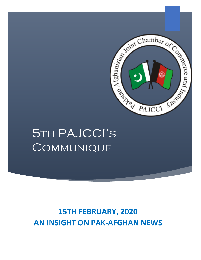

# 5th PAJCCI's **COMMUNIQUE**

## **15TH FEBRUARY, 2020 AN INSIGHT ON PAK-AFGHAN NEWS**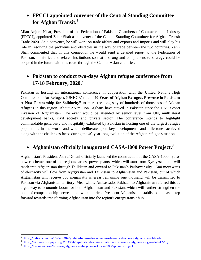### **FPCCI appointed convener of the Central Standing Committee for Afghan Transit.<sup>1</sup>**

Mian Anjum Nisar, President of the Federation of Pakistan Chambers of Commerce and Industry (FPCCI), appointed Zahir Shah as convener of the Central Standing Committee for Afghan Transit Trade 2020. As a convener, he will work on trade affairs and exports and imports and will play his role in resolving the problems and obstacles in the way of trade between the two countries. Zahir Shah commented that in this connection he would send a detailed report to the Federation of Pakistan, ministries and related institutions so that a strong and comprehensive strategy could be adopted in the future with this route through the Central Asian countries.

#### **Pakistan to conduct two-days Afghan refugee conference from 17-18 February, 2020. 2**

Pakistan is hosting an international conference in cooperation with the United Nations High Commissioner for Refugees (UNHCR) titled **"40 Years of Afghan Refugees Presence in Pakistan: A New Partnership for Solidarity"** to mark the long stay of hundreds of thousands of Afghan refugees in this region. About 2.5 million Afghans have stayed in Pakistan since the 1979 Soviet invasion of Afghanistan. The event would be attended by senior level from UN, multilateral development banks, civil society and private sector. The conference intends to highlight commendable generosity and hospitality exhibited by Pakistan in hosting one of the largest refugee populations in the world and would deliberate upon key developments and milestones achieved along with the challenges faced during the 40-year-long evolution of the Afghan refugee situation.

#### **Afghanistan officially inaugurated CASA-1000 Power Project.<sup>3</sup>**

Afghanistan's President Ashraf Ghani officially launched the construction of the CASA-1000 hydropower scheme, one of the region's largest power plants, which will start from Kyrgyzstan and will reach into Afghanistan through Tajikistan and onward to Pakistan's Peshawar city. 1300 megawatts of electricity will flow from Kyrgyzstan and Tajikistan to Afghanistan and Pakistan, out of which Afghanistan will receive 300 megawatts whereas remaining one thousand will be transmitted to Pakistan via Afghanistan territory. Meanwhile, Ambassador Pakistan to Afghanistan referred this as a gateway to economic boom for both Afghanistan and Pakistan, which will further strengthen the bond of companionship between the two countries. President Afghanistan established this as a step forward towards transforming Afghanistan into the region's energy transit hub.

 $\overline{\phantom{a}}$ 

<sup>1</sup> <https://nation.com.pk/10-Feb-2020/zahir-shah-made-convener-of-central-body-on-afghan-transit-trade>

<sup>&</sup>lt;sup>2</sup> <https://tribune.com.pk/story/2153354/1-pakistan-hold-international-conference-afghan-refugees-feb-17-18/>

<sup>&</sup>lt;sup>3</sup> <https://tolonews.com/business/afghanistan-begins-work-casa-1000-power-project>